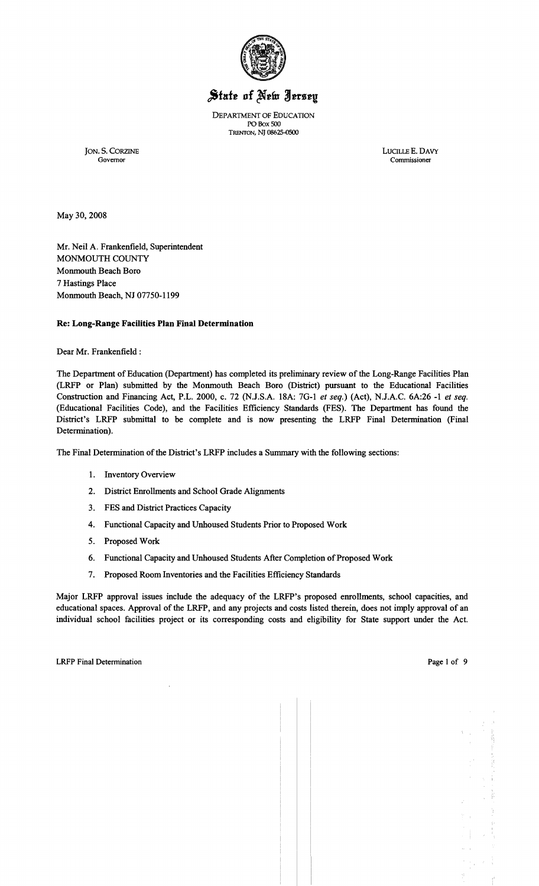

# State of New Jersey

DEPARTMENT OF EDUCATION PO Box 500 TRENTON, NJ 08625-0500

JON. S. CORZINE LUCILLE E. DAVY Governor Commissioner Commissioner

May 30,2008

Mr. Neil A. Frankenfield, Superintendent MONMOUTH COUNTY Monmouth Beach Boro 7 Hastings Place Monmouth Beach, NJ 07750-1199

## Re: Long-Range Facilities Plan Final Determination

Dear Mr. Frankenfield:

The Department of Education (Department) has completed its preliminary review of the Long-Range Facilities Plan (LRFP or Plan) submitted by the Monmouth Beach Boro (District) pursuant to the Educational Facilities Construction and Financing Act, P.L. 2000, c. 72 (N.J.S.A. 18A: 7G-l *et seq.)* (Act), N.J.A.C. 6A:26 -1 *et seq.*  (Educational Facilities Code), and the Facilities Efficiency Standards (FES). The Department has found the District's LRFP submittal to be complete and is now presenting the LRFP Final Determination (Final Determination).

The Final Determination of the District's LRFP includes a Summary with the following sections:

- 1. Inventory Overview
- 2. District Enrollments and School Grade Alignments
- 3. FES and District Practices Capacity
- 4. Functional Capacity and Unhoused Students Prior to Proposed Work
- 5. Proposed Work
- 6. Functional Capacity and Unhoused Students After Completion of Proposed Work
- 7. Proposed Room Inventories and the Facilities Efficiency Standards

Major LRFP approval issues include the adequacy of the LRFP's proposed enrollments, school capacities, and educational spaces. Approval of the LRFP, and any projects and costs listed therein, does not imply approval of an individual school facilities project or its corresponding costs and eligibility for State support under the Act.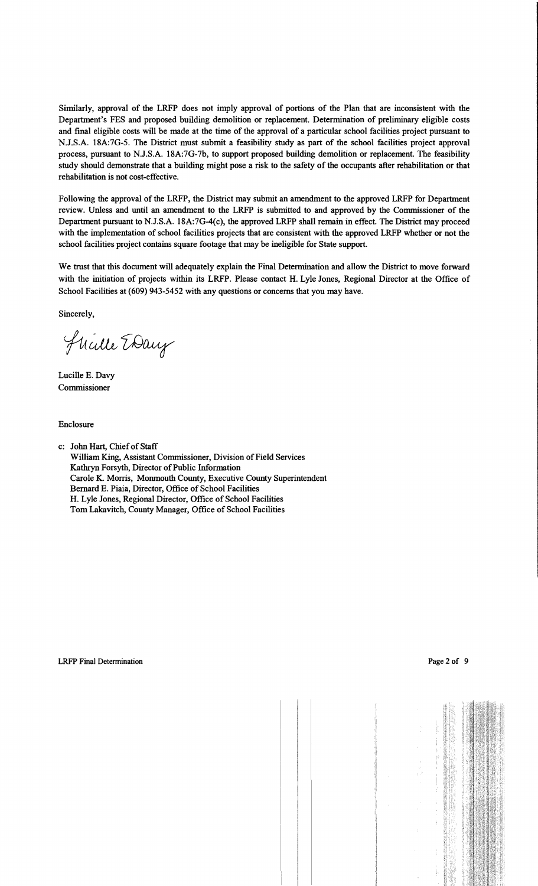Similarly, approval of the LRFP does not imply approval of portions of the Plan that are inconsistent with the Department's FES and proposed building demolition or replacement. Determination of preliminary eligible costs and final eligible costs will be made at the time of the approval of a particular school facilities project pursuant to N.J.S.A. 18A:7G-5. The District must submit a feasibility study as part of the school facilities project approval process, pursuant to N.J.S.A. 18A:7G-7b, to support proposed building demolition or replacement. The feasibility study should demonstrate that a building might pose a risk to the safety of the occupants after rehabilitation or that rehabilitation is not cost-effective.

Following the approval of the LRFP, the District may submit an amendment to the approved LRFP for Department review. Unless and until an amendment to the LRFP is submitted to and approved by the Commissioner of the Department pursuant to N.J.S.A. 18A:7G-4(c), the approved LRFP shall remain in effect. The District may proceed with the implementation of school facilities projects that are consistent with the approved LRFP whether or not the school facilities project contains square footage that may be ineligible for State support.

We trust that this document will adequately explain the Final Determination and allow the District to move forward with the initiation of projects within its LRFP. Please contact H. Lyle Jones, Regional Director at the Office of School Facilities at (609) 943-5452 with any questions or concerns that you may have.

Sincerely,

Flichle EDay

Lucille E. Davy Commissioner

Enclosure

c: John Hart, Chief of Staff William King, Assistant Commissioner, Division of Field Services Kathryn Forsyth, Director of Public Information Carole K. Morris, Monmouth County, Executive County Superintendent Bernard E. Piaia, Director, Office of School Facilities H. Lyle Jones, Regional Director, Office of School Facilities Tom Lakavitch, County Manager, Office of School Facilities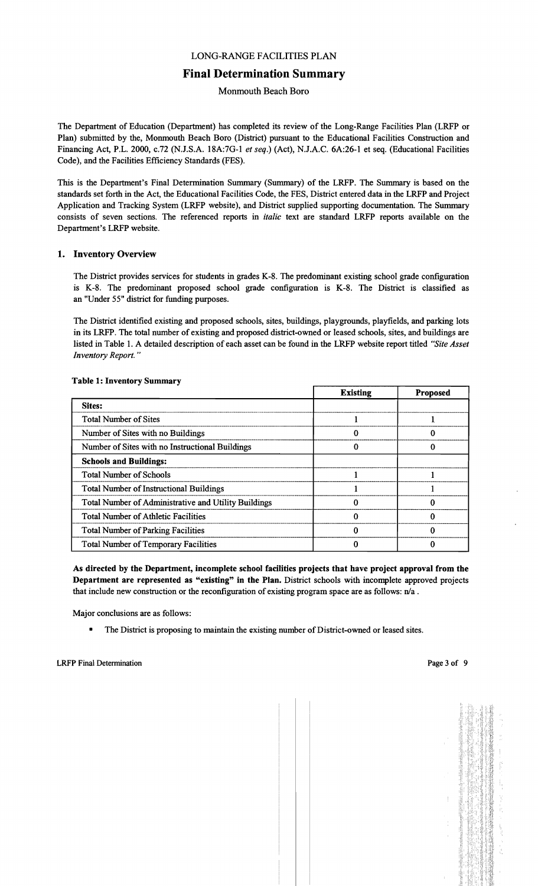## LONG-RANGE FACILITIES PLAN

## Final Determination Summary

Monmouth Beach Boro

The Department of Education (Department) has completed its review of the Long-Range Facilities Plan (LRFP or Plan) submitted by the, Monmouth Beach Boro (District) pursuant to the Educational Facilities Construction and Financing Act, P.L. 2000, c.72 (N.J.S.A. 18A:7G-I *et seq.)* (Act), N.J.A.C. 6A:26-1 et seq. (Educational Facilities Code), and the Facilities Efficiency Standards (FES).

This is the Department's Final Determination Summary (Summary) of the LRFP. The Summary is based on the standards set forth in the Act, the Educational Facilities Code, the FES, District entered data in the LRFP and Project Application and Tracking System (LRFP website), and District supplied supporting documentation. The Summary consists of seven sections. The referenced reports in *italic* text are standard LRFP reports available on the Department's LRFP website.

#### 1. Inventory Overview

The District provides services for students in grades K-8. The predominant existing school grade configuration is K-8. The predominant proposed school grade configuration is K-8. The District is classified as an "Under 55" district for funding purposes.

The District identified existing and proposed schools, sites, buildings, playgrounds, playfields, and parking lots in its LRFP. The total number of existing and proposed district-owned or leased schools, sites, and buildings are listed in Table I. A detailed description of each asset can be found in the LRFP website report titled *"Site Asset Inventory Report. "* 

|                                                      | <b>Existing</b> | <b>Proposed</b> |
|------------------------------------------------------|-----------------|-----------------|
| Sites:                                               |                 |                 |
| <b>Total Number of Sites</b>                         |                 |                 |
| Number of Sites with no Buildings                    |                 |                 |
| Number of Sites with no Instructional Buildings      |                 |                 |
| <b>Schools and Buildings:</b>                        |                 |                 |
| <b>Total Number of Schools</b>                       |                 |                 |
| <b>Total Number of Instructional Buildings</b>       |                 |                 |
| Total Number of Administrative and Utility Buildings |                 |                 |
| <b>Total Number of Athletic Facilities</b>           |                 |                 |
| <b>Total Number of Parking Facilities</b>            |                 |                 |
| <b>Total Number of Temporary Facilities</b>          |                 |                 |

#### Table 1: Inventory Summary

As directed by the Department, incomplete school facilities projects that have project approval from the Department are represented as "existing" in the Plan. District schools with incomplete approved projects that include new construction or the reconfiguration of existing program space are as follows:  $n/a$ .

Major conclusions are as follows:

The District is proposing to maintain the existing number of District-owned or leased sites.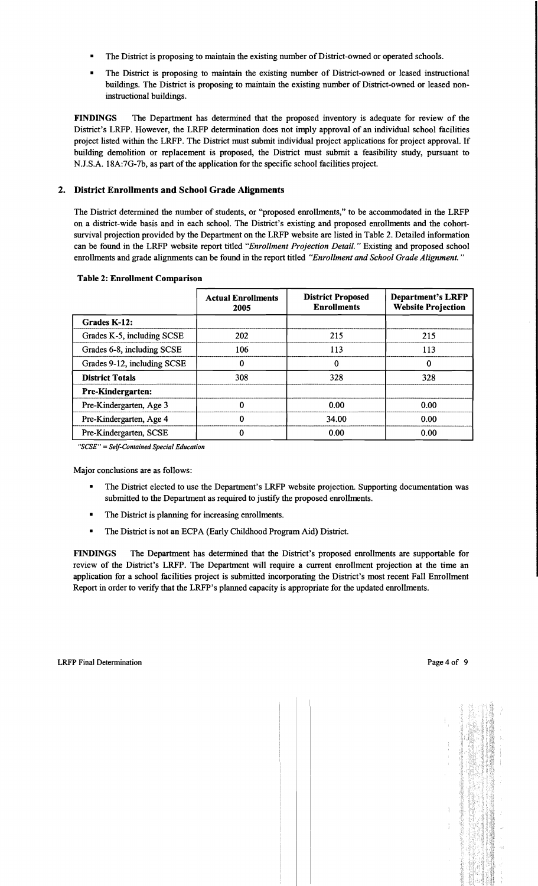- The District is proposing to maintain the existing number of District-owned or operated schools.
- The District is proposing to maintain the existing number of District-owned or leased instructional buildings. The District is proposing to maintain the existing number of District-owned or leased noninstructional buildings.

FINDINGS The Department has determined that the proposed inventory is adequate for review of the District's LRFP. However, the LRFP determination does not imply approval of an individual school facilities project listed within the LRFP. The District must submit individual project applications for project approval. If building demolition or replacement is proposed, the District must submit a feasibility study, pursuant to N.J.S.A. 18A:7G-7b, as part of the application for the specific school facilities project.

## 2. District Enrollments and School Grade Alignments

The District determined the number of students, or "proposed enrollments," to be accommodated in the LRFP on a district-wide basis and in each school. The District's existing and proposed enrollments and the cohortsurvival projection provided by the Department on the LRFP website are listed in Table 2. Detailed information can be found in the LRFP website report titled *"Enrollment Projection Detail.* " Existing and proposed school enrollments and grade alignments can be found in the report titled *"Enrollment and School Grade Alignment. "* 

|                             | <b>Actual Enrollments</b><br>2005 | <b>District Proposed</b><br><b>Enrollments</b> | <b>Department's LRFP</b><br><b>Website Projection</b> |
|-----------------------------|-----------------------------------|------------------------------------------------|-------------------------------------------------------|
| Grades K-12:                |                                   |                                                |                                                       |
| Grades K-5, including SCSE  | 202                               | 215                                            | 215                                                   |
| Grades 6-8, including SCSE  | 106                               | 113                                            | 113                                                   |
| Grades 9-12, including SCSE | 0                                 | 0                                              | 0                                                     |
| <b>District Totals</b>      | 308                               | 328                                            | 328                                                   |
| <b>Pre-Kindergarten:</b>    |                                   |                                                |                                                       |
| Pre-Kindergarten, Age 3     | 0                                 | 0.00                                           | 0.00                                                  |
| Pre-Kindergarten, Age 4     | 0                                 | 34.00                                          | 0.00                                                  |
| Pre-Kindergarten, SCSE      |                                   | 0.00                                           | 0.00                                                  |

#### Table 2: Enrollment Comparison

*"SCSE"* = *Self-Contained Special Education* 

Major conclusions are as follows:

- The District elected to use the Department's LRFP website projection. Supporting documentation was submitted to the Department as required to justify the proposed enrollments.
- The District is planning for increasing enrollments.
- The District is not an ECPA (Early Childhood Program Aid) District.

FINDINGS The Department has determined that the District's proposed enrollments are supportable for review of the District's LRFP. The Department will require a current enrollment projection at the time an application for a school facilities project is submitted incorporating the District's most recent Fall Enrollment Report in order to verify that the LRFP's planned capacity is appropriate for the updated enrollments.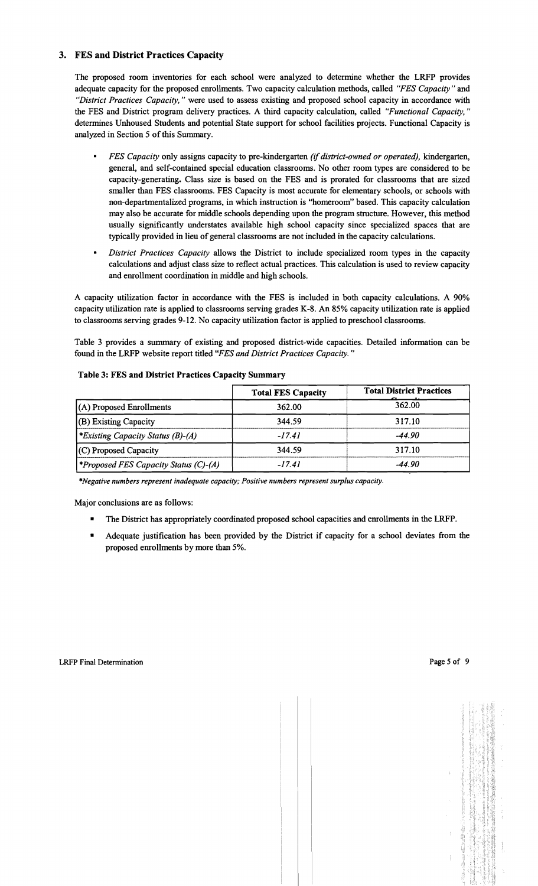## 3. FES and District Practices Capacity

The proposed room inventories for each school were analyzed to determine whether the LRFP provides adequate capacity for the proposed enrollments. Two capacity calculation methods, called *"FES Capacity"* and *"District Practices Capacity,"* were used to assess existing and proposed school capacity in accordance with the FES and District program delivery practices. A third capacity calculation, called *"Functional Capacity, "*  determines Unhoused Students and potential State support for school facilities projects. Functional Capacity is analyzed in Section 5 of this Summary.

- $\blacksquare$ *FES Capacity* only assigns capacity to pre-kindergarten *(if district-owned or operated),* kindergarten, general, and self-contained special education classrooms. No other room types are considered to be capacity-generating. Class size is based on the FES and is prorated for classrooms that are sized smaller than FES classrooms. FES Capacity is most accurate for elementary schools, or schools with non-departmentalized programs, in which instruction is "homeroom" based. This capacity calculation may also be accurate for middle schools depending upon the program structure. However, this method usually significantly understates available high school capacity since specialized spaces that are typically provided in lieu ofgeneral classrooms are not included in the capacity calculations.
- *District Practices Capacity allows the District to include specialized room types in the capacity* calculations and adjust class size to reflect actual practices. This calculation is used to review capacity and enrollment coordination in middle and high schools.

A capacity utilization factor in accordance with the FES is included in both capacity calculations. A 90% capacity utilization rate is applied to classrooms serving grades K-8. An 85% capacity utilization rate is applied to classrooms serving grades 9-12. No capacity utilization factor is applied to preschool classrooms.

Table 3 provides a summary of existing and proposed district-wide capacities. Detailed information can be found in the LRFP website report titled *"FES and District Practices Capacity."* 

|                                                 | <b>Total FES Capacity</b> | <b>Total District Practices</b> |
|-------------------------------------------------|---------------------------|---------------------------------|
| $(A)$ Proposed Enrollments                      | 362.00                    | 362.00                          |
| $ $ (B) Existing Capacity                       | 344.59                    | 317.10                          |
| <i><b>*Existing Capacity Status (B)-(A)</b></i> | $-17.41$                  | $-44.90$                        |
| (C) Proposed Capacity                           | 344.59                    | 317.10                          |
| <i>*Proposed FES Capacity Status (C)-(A)</i>    | $-17.41$                  | $-44.90$                        |

#### Table 3: FES and District Practices Capacity Summary

*\*Negative numbers represent inadequate capacity; Positive numbers represent surplus capacity.* 

Major conclusions are as follows:

- The District has appropriately coordinated proposed school capacities and enrollments in the LRFP.
- Adequate justification has been provided by the District if capacity for a school deviates from the proposed enrollments by more than 5%.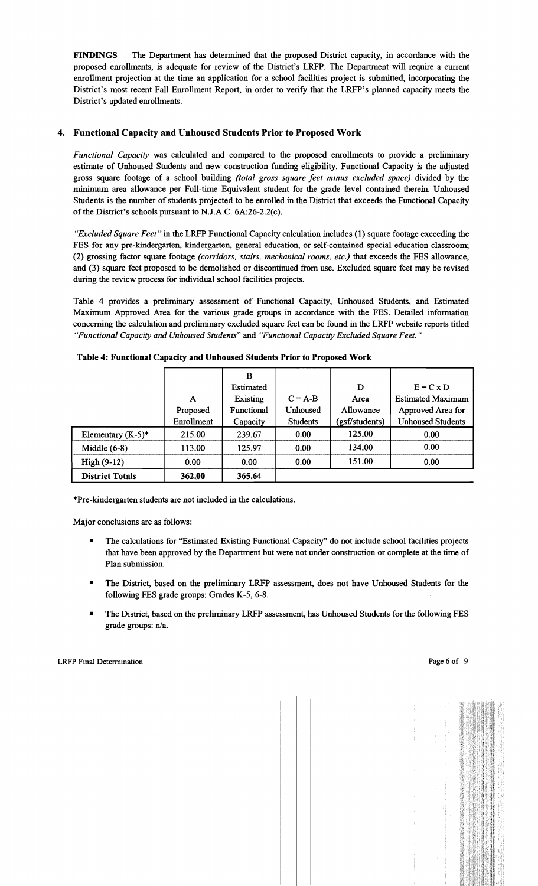FINDINGS The Department has determined that the proposed District capacity, in accordance with the proposed enrollments, is adequate for review of the District's LRFP. The Department will require a current enrollment projection at the time an application for a school facilities project is submitted, incorporating the District's most recent Fall Enrollment Report, in order to verify that the LRFP's planned capacity meets the District's updated enrollments.

## 4. Functional Capacity and Unhoused Students Prior to Proposed Work

*Functional Capacity* was calculated and compared to the proposed enrollments to provide a preliminary estimate of Unhoused Students and new construction funding eligibility. Functional Capacity is the adjusted gross square footage of a school building *(total gross square feet minus excluded space)* divided by the minimum area allowance per Full-time Equivalent student for the grade level contained therein. Unhoused Students is the number of students projected to be enrolled in the District that exceeds the Functional Capacity of the District's schools pursuant to N.J.A.C. 6A:26-2.2(c).

*"Excluded Square Feet"* in the LRFP Functional Capacity calculation includes (1) square footage exceeding the FES for any pre-kindergarten, kindergarten, general education, or self-contained special education classroom; (2) grossing factor square footage *(corridors, stairs, mechanical rooms, etc.)* that exceeds the FES allowance, and (3) square feet proposed to be demolished or discontinued from use. Excluded square feet may be revised during the review process for individual school facilities projects.

Table 4 provides a preliminary assessment of Functional Capacity, Unhoused Students, and Estimated Maximum Approved Area for the various grade groups in accordance with the FES. Detailed information concerning the calculation and preliminary excluded square feet can be found in the LRFP website reports titled *"Functional Capacity and Unhoused Students"* and *"Functional Capacity Excluded Square Feet. "* 

|                        |            | B                |                 |                |                          |
|------------------------|------------|------------------|-----------------|----------------|--------------------------|
|                        |            | <b>Estimated</b> |                 | D              | $E = C x D$              |
|                        | А          | <b>Existing</b>  | $C = A-B$       | Area           | <b>Estimated Maximum</b> |
|                        | Proposed   | Functional       | <b>Unhoused</b> | Allowance      | Approved Area for        |
|                        | Enrollment | Capacity         | <b>Students</b> | (gsf/students) | <b>Unhoused Students</b> |
| Elementary $(K-5)^*$   | 215.00     | 239.67           | 0.00            | 125.00         | 0.00                     |
| Middle $(6-8)$         | 113.00     | 125.97           | 0.00            | 134.00         | 0.00                     |
| High $(9-12)$          | 0.00       | 0.00             | 0.00            | 151.00         | 0.00                     |
| <b>District Totals</b> | 362.00     | 365.64           |                 |                |                          |

Table 4: Functional Capacity and Unhoused Students Prior to Proposed Work

\*Pre-kindergarten students are not included in the calculations.

Major conclusions are as follows:

- The calculations for "Estimated Existing Functional Capacity" do not include school facilities projects that have been approved by the Department but were not under construction or complete at the time of Plan submission.
- • The District, based on the preliminary LRFP assessment, does not have Unhoused Students for the following FES grade groups: Grades K-5, 6-8.
- The District, based on the preliminary LRFP assessment, has Unhoused Students for the following FES grade groups: n/a.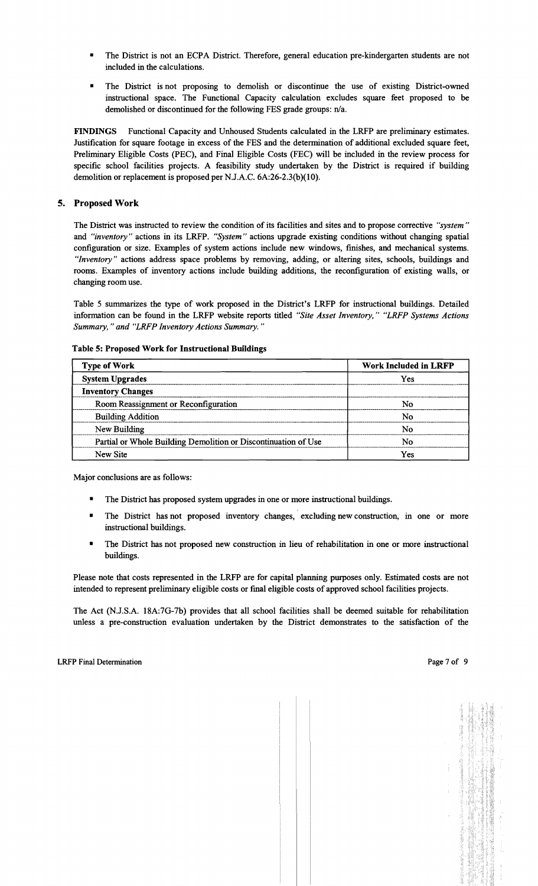- The District is not an ECPA District. Therefore, general education pre-kindergarten students are not included in the calculations.
- The District is not proposing to demolish or discontinue the use of existing District-owned instructional space. The Functional Capacity calculation excludes square feet proposed to be demolished or discontinued for the following FES grade groups: n/a.

FINDINGS Functional Capacity and Unhoused Students calculated in the LRFP are preliminary estimates. Justification for square footage in excess of the FES and the determination of additional excluded square feet, Preliminary Eligible Costs (PEC), and Final Eligible Costs (FEC) will be included in the review process for specific school facilities projects. A feasibility study undertaken by the District is required if building demolition or replacement is proposed per NJ.A.C. 6A:26-2.3(b)(10).

## 5. Proposed Work

The District was instructed to review the condition of its facilities and sites and to propose corrective *"system"*  and *"inventory"* actions in its LRFP. *"System"* actions upgrade existing conditions without changing spatial configuration or size. Examples of system actions include new windows, finishes, and mechanical systems. *"Inventory"* actions address space problems by removing, adding, or altering sites, schools, buildings and rooms. Examples of inventory actions include building additions, the reconfiguration of existing walls, or changing room use.

Table 5 summarizes the type of work proposed in the District's LRFP for instructional buildings. Detailed information can be found in the LRFP website reports titled *"Site Asset Inventory," "LRFP Systems Actions Summary,* " *and "LRFP Inventory Actions Summary. "* 

| <b>Type of Work</b>                                            | <b>Work Included in LRFP</b> |  |  |
|----------------------------------------------------------------|------------------------------|--|--|
| <b>System Upgrades</b>                                         | Yes                          |  |  |
| <b>Inventory Changes</b>                                       |                              |  |  |
| Room Reassignment or Reconfiguration                           | No                           |  |  |
| <b>Building Addition</b>                                       | N٥                           |  |  |
| New Building                                                   | No                           |  |  |
| Partial or Whole Building Demolition or Discontinuation of Use | No                           |  |  |
| New Site                                                       | Yes                          |  |  |

Table 5: Proposed Work for Instructional Buildings

Major conclusions are as follows:

- The District has proposed system upgrades in one or more instructional buildings.
- The District has not proposed inventory changes, excluding new construction, in one or more instructional buildings.
- The District has not proposed new construction in lieu of rehabilitation in one or more instructional buildings.

Please note that costs represented in the LRFP are for capital planning purposes only. Estimated costs are not intended to represent preliminary eligible costs or fmal eligible costs of approved school facilities projects.

The Act (N.J.S.A. 18A:7G-7b) provides that all school facilities shall be deemed suitable for rehabilitation unless a pre-construction evaluation undertaken by the District demonstrates to the satisfaction of the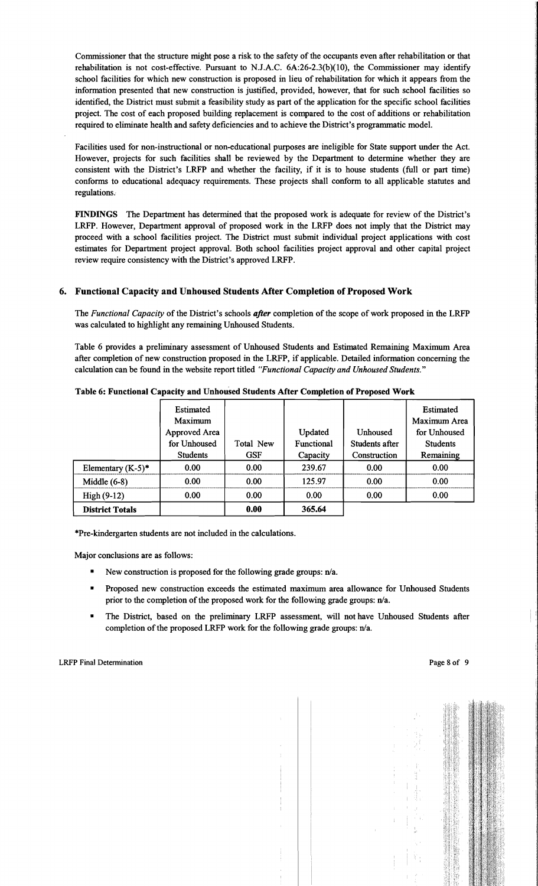Commissioner that the structure might pose a risk to the safety of the occupants even after rehabilitation or that rehabilitation is not cost-effective. Pursuant to N.J.A.C. 6A:26-2.3(b)(10), the Commissioner may identify school facilities for which new construction is proposed in lieu of rehabilitation for which it appears from the information presented that new construction is justified, provided, however, that for such school facilities so identified, the District must submit a feasibility study as part of the application for the specific school facilities project. The cost of each proposed building replacement is compared to the cost of additions or rehabilitation required to eliminate health and safety deficiencies and to achieve the District's programmatic model.

Facilities used for non-instructional or non-educational purposes are ineligible for State support under the Act. However, projects for such facilities shall be reviewed by the Department to determine whether they are consistent with the District's LRFP and whether the facility, if it is to house students (full or part time) conforms to educational adequacy requirements. These projects shall conform to all applicable statutes and regulations..

FINDINGS The Department has determined that the proposed work is adequate for review of the District's LRFP. However, Department approval of proposed work in the LRFP does not imply that the District may proceed with a school facilities project. The District must submit individual project applications with cost estimates for Department project approval. Both school facilities project approval and other capital project review require consistency with the District's approved LRFP.

## 6. Functional Capacity and Unhoused Students After Completion of Proposed Work

The *Functional Capacity* of the District's schools *after* completion of the scope of work proposed in the LRFP was calculated to highlight any remaining Unhoused Students.

Table 6 provides a preliminary assessment of Unhoused Students and Estimated Remaining Maximum Area after completion of new construction proposed in the LRFP, if applicable. Detailed information concerning the calculation can be found in the website report titled *"Functional Capacity and Unhoused Students."* 

|                        | Estimated<br>Maximum<br>Approved Area<br>for Unhoused | Total New  | Updated<br>Functional | <b>Unhoused</b><br>Students after | Estimated<br>Maximum Area<br>for Unhoused<br><b>Students</b> |
|------------------------|-------------------------------------------------------|------------|-----------------------|-----------------------------------|--------------------------------------------------------------|
|                        | <b>Students</b>                                       | <b>GSF</b> | Capacity              | Construction                      | Remaining                                                    |
| Elementary $(K-5)^*$   | 0.00                                                  | 0.00       | 239.67                | 0.00                              | 0.00                                                         |
| Middle $(6-8)$         | 0.00                                                  | 0.00       | 125.97                | 0.00                              | 0.00                                                         |
| $High(9-12)$           | 0.00                                                  | 0.00       | 0.00                  | 0.00                              | 0.00                                                         |
| <b>District Totals</b> |                                                       | 0.00       | 365.64                |                                   |                                                              |

#### Table 6: Functional Capacity and Unhoused Students After Completion of Proposed Work

\*Pre-kindergarten students are not included in the calculations.

Major conclusions are as follows:

- New construction is proposed for the following grade groups:  $n/a$ .
- Proposed new construction exceeds the estimated maximum area allowance for Unhoused Students prior to the completion of the proposed work for the following grade groups: n/a.
- The District, based on the preliminary LRFP assessment, will not have Unhoused Students after completion of the proposed LRFP work for the following grade groups: n/a.